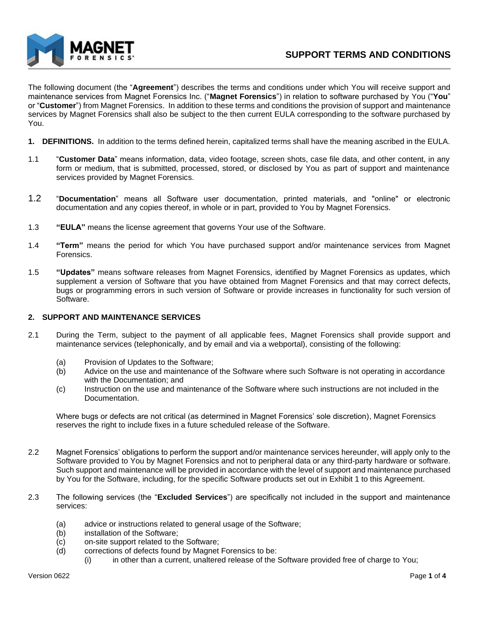

The following document (the "**Agreement**") describes the terms and conditions under which You will receive support and maintenance services from Magnet Forensics Inc. ("**Magnet Forensics**") in relation to software purchased by You ("**You**" or "**Customer**") from Magnet Forensics. In addition to these terms and conditions the provision of support and maintenance services by Magnet Forensics shall also be subject to the then current EULA corresponding to the software purchased by You.

- **1. DEFINITIONS.** In addition to the terms defined herein, capitalized terms shall have the meaning ascribed in the EULA.
- 1.1 "**Customer Data**" means information, data, video footage, screen shots, case file data, and other content, in any form or medium, that is submitted, processed, stored, or disclosed by You as part of support and maintenance services provided by Magnet Forensics.
- 1.2 "**Documentation**" means all Software user documentation, printed materials, and "online" or electronic documentation and any copies thereof, in whole or in part, provided to You by Magnet Forensics.
- 1.3 **"EULA"** means the license agreement that governs Your use of the Software.
- 1.4 **"Term"** means the period for which You have purchased support and/or maintenance services from Magnet Forensics.
- 1.5 **"Updates"** means software releases from Magnet Forensics, identified by Magnet Forensics as updates, which supplement a version of Software that you have obtained from Magnet Forensics and that may correct defects, bugs or programming errors in such version of Software or provide increases in functionality for such version of Software.

## **2. SUPPORT AND MAINTENANCE SERVICES**

- 2.1 During the Term, subject to the payment of all applicable fees, Magnet Forensics shall provide support and maintenance services (telephonically, and by email and via a webportal), consisting of the following:
	- (a) Provision of Updates to the Software;
	- (b) Advice on the use and maintenance of the Software where such Software is not operating in accordance with the Documentation; and
	- (c) Instruction on the use and maintenance of the Software where such instructions are not included in the Documentation.

Where bugs or defects are not critical (as determined in Magnet Forensics' sole discretion), Magnet Forensics reserves the right to include fixes in a future scheduled release of the Software.

- 2.2 Magnet Forensics' obligations to perform the support and/or maintenance services hereunder, will apply only to the Software provided to You by Magnet Forensics and not to peripheral data or any third-party hardware or software. Such support and maintenance will be provided in accordance with the level of support and maintenance purchased by You for the Software, including, for the specific Software products set out in Exhibit 1 to this Agreement.
- 2.3 The following services (the "**Excluded Services**") are specifically not included in the support and maintenance services:
	- (a) advice or instructions related to general usage of the Software;
	- (b) installation of the Software;
	- (c) on-site support related to the Software;
	- (d) corrections of defects found by Magnet Forensics to be:
		- (i) in other than a current, unaltered release of the Software provided free of charge to You;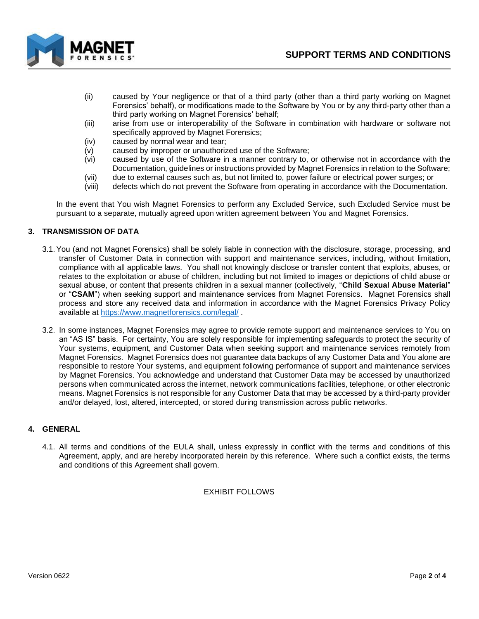

- (ii) caused by Your negligence or that of a third party (other than a third party working on Magnet Forensics' behalf), or modifications made to the Software by You or by any third-party other than a third party working on Magnet Forensics' behalf;
- (iii) arise from use or interoperability of the Software in combination with hardware or software not specifically approved by Magnet Forensics;
- (iv) caused by normal wear and tear;
- (v) caused by improper or unauthorized use of the Software;
- (vi) caused by use of the Software in a manner contrary to, or otherwise not in accordance with the Documentation, guidelines or instructions provided by Magnet Forensics in relation to the Software;
- (vii) due to external causes such as, but not limited to, power failure or electrical power surges; or
- (viii) defects which do not prevent the Software from operating in accordance with the Documentation.

In the event that You wish Magnet Forensics to perform any Excluded Service, such Excluded Service must be pursuant to a separate, mutually agreed upon written agreement between You and Magnet Forensics.

## **3. TRANSMISSION OF DATA**

- 3.1.You (and not Magnet Forensics) shall be solely liable in connection with the disclosure, storage, processing, and transfer of Customer Data in connection with support and maintenance services, including, without limitation, compliance with all applicable laws. You shall not knowingly disclose or transfer content that exploits, abuses, or relates to the exploitation or abuse of children, including but not limited to images or depictions of child abuse or sexual abuse, or content that presents children in a sexual manner (collectively, "**Child Sexual Abuse Material**" or "**CSAM**") when seeking support and maintenance services from Magnet Forensics. Magnet Forensics shall process and store any received data and information in accordance with the Magnet Forensics Privacy Policy available at<https://www.magnetforensics.com/legal/> .
- 3.2. In some instances, Magnet Forensics may agree to provide remote support and maintenance services to You on an "AS IS" basis. For certainty, You are solely responsible for implementing safeguards to protect the security of Your systems, equipment, and Customer Data when seeking support and maintenance services remotely from Magnet Forensics. Magnet Forensics does not guarantee data backups of any Customer Data and You alone are responsible to restore Your systems, and equipment following performance of support and maintenance services by Magnet Forensics. You acknowledge and understand that Customer Data may be accessed by unauthorized persons when communicated across the internet, network communications facilities, telephone, or other electronic means. Magnet Forensics is not responsible for any Customer Data that may be accessed by a third-party provider and/or delayed, lost, altered, intercepted, or stored during transmission across public networks.

## **4. GENERAL**

4.1. All terms and conditions of the EULA shall, unless expressly in conflict with the terms and conditions of this Agreement, apply, and are hereby incorporated herein by this reference. Where such a conflict exists, the terms and conditions of this Agreement shall govern.

## EXHIBIT FOLLOWS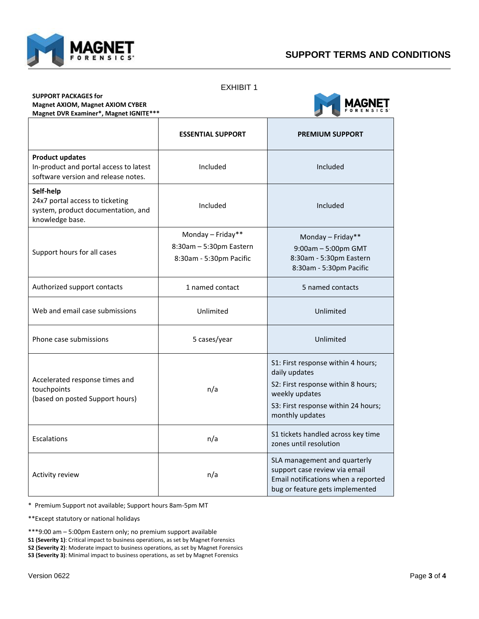

EXHIBIT 1

| <b>SUPPORT PACKAGES for</b>             |
|-----------------------------------------|
| <b>Magnet AXIOM, Magnet AXIOM CYBER</b> |
| Magnet DVR Examiner*, Magnet IGNITE***  |



|                                                                                                         | <b>ESSENTIAL SUPPORT</b>                                                | <b>PREMIUM SUPPORT</b>                                                                                                                                                |
|---------------------------------------------------------------------------------------------------------|-------------------------------------------------------------------------|-----------------------------------------------------------------------------------------------------------------------------------------------------------------------|
| <b>Product updates</b><br>In-product and portal access to latest<br>software version and release notes. | Included                                                                | Included                                                                                                                                                              |
| Self-help<br>24x7 portal access to ticketing<br>system, product documentation, and<br>knowledge base.   | Included                                                                | Included                                                                                                                                                              |
| Support hours for all cases                                                                             | Monday - Friday**<br>8:30am - 5:30pm Eastern<br>8:30am - 5:30pm Pacific | Monday - Friday**<br>9:00am - 5:00pm GMT<br>8:30am - 5:30pm Eastern<br>8:30am - 5:30pm Pacific                                                                        |
| Authorized support contacts                                                                             | 1 named contact                                                         | 5 named contacts                                                                                                                                                      |
| Web and email case submissions                                                                          | Unlimited                                                               | Unlimited                                                                                                                                                             |
| Phone case submissions                                                                                  | 5 cases/year                                                            | Unlimited                                                                                                                                                             |
| Accelerated response times and<br>touchpoints<br>(based on posted Support hours)                        | n/a                                                                     | S1: First response within 4 hours;<br>daily updates<br>S2: First response within 8 hours;<br>weekly updates<br>S3: First response within 24 hours;<br>monthly updates |
| Escalations                                                                                             | n/a                                                                     | S1 tickets handled across key time<br>zones until resolution                                                                                                          |
| Activity review                                                                                         | n/a                                                                     | SLA management and quarterly<br>support case review via email<br>Email notifications when a reported<br>bug or feature gets implemented                               |

\* Premium Support not available; Support hours 8am-5pm MT

\*\*Except statutory or national holidays

\*\*\*9:00 am – 5:00pm Eastern only; no premium support available

**S1 (Severity 1)**: Critical impact to business operations, as set by Magnet Forensics

**S2 (Severity 2)**: Moderate impact to business operations, as set by Magnet Forensics

**S3 (Severity 3)**: Minimal impact to business operations, as set by Magnet Forensics